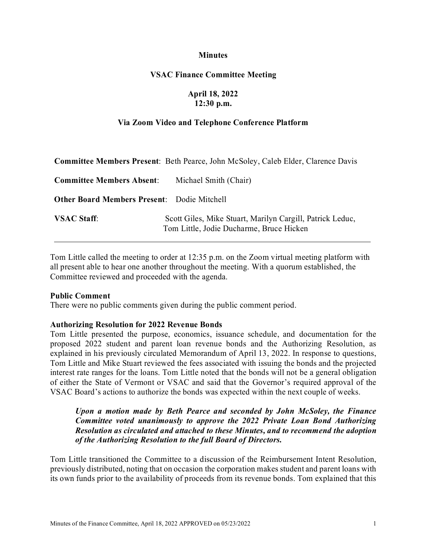#### **Minutes**

### **VSAC Finance Committee Meeting**

## **April 18, 2022 12:30 p.m.**

#### **Via Zoom Video and Telephone Conference Platform**

|                                                    | <b>Committee Members Present:</b> Beth Pearce, John McSoley, Caleb Elder, Clarence Davis              |
|----------------------------------------------------|-------------------------------------------------------------------------------------------------------|
| <b>Committee Members Absent:</b>                   | Michael Smith (Chair)                                                                                 |
| <b>Other Board Members Present:</b> Dodie Mitchell |                                                                                                       |
| <b>VSAC Staff:</b>                                 | Scott Giles, Mike Stuart, Marilyn Cargill, Patrick Leduc,<br>Tom Little, Jodie Ducharme, Bruce Hicken |

Tom Little called the meeting to order at 12:35 p.m. on the Zoom virtual meeting platform with all present able to hear one another throughout the meeting. With a quorum established, the Committee reviewed and proceeded with the agenda.

#### **Public Comment**

There were no public comments given during the public comment period.

#### **Authorizing Resolution for 2022 Revenue Bonds**

Tom Little presented the purpose, economics, issuance schedule, and documentation for the proposed 2022 student and parent loan revenue bonds and the Authorizing Resolution, as explained in his previously circulated Memorandum of April 13, 2022. In response to questions, Tom Little and Mike Stuart reviewed the fees associated with issuing the bonds and the projected interest rate ranges for the loans. Tom Little noted that the bonds will not be a general obligation of either the State of Vermont or VSAC and said that the Governor's required approval of the VSAC Board's actions to authorize the bonds was expected within the next couple of weeks.

## *Upon a motion made by Beth Pearce and seconded by John McSoley, the Finance Committee voted unanimously to approve the 2022 Private Loan Bond Authorizing Resolution as circulated and attached to these Minutes, and to recommend the adoption of the Authorizing Resolution to the full Board of Directors.*

Tom Little transitioned the Committee to a discussion of the Reimbursement Intent Resolution, previously distributed, noting that on occasion the corporation makes student and parent loans with its own funds prior to the availability of proceeds from its revenue bonds. Tom explained that this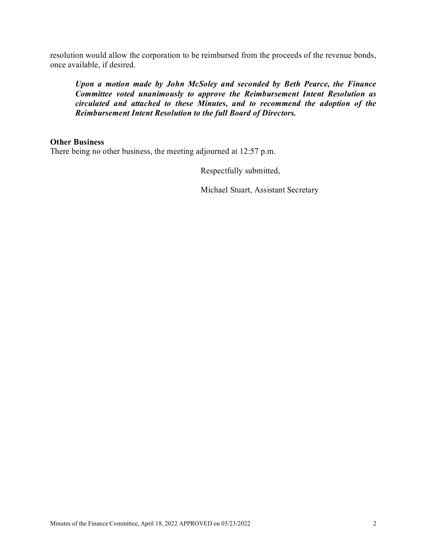resolution would allow the corporation to be reimbursed from the proceeds of the revenue bonds, once available, if desired.

*Upon a motion made by John McSoley and seconded by Beth Pearce, the Finance Committee voted unanimously to approve the Reimbursement Intent Resolution as circulated and attached to these Minutes, and to recommend the adoption of the Reimbursement Intent Resolution to the full Board of Directors.*

### **Other Business**

There being no other business, the meeting adjourned at 12:57 p.m.

Respectfully submitted,

Michael Stuart, Assistant Secretary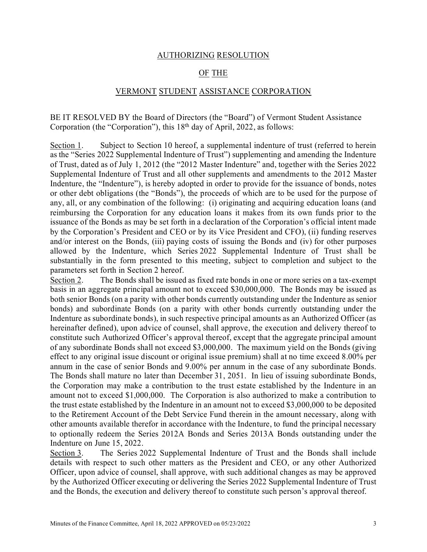### AUTHORIZING RESOLUTION

# OF THE

#### VERMONT STUDENT ASSISTANCE CORPORATION

BE IT RESOLVED BY the Board of Directors (the "Board") of Vermont Student Assistance Corporation (the "Corporation"), this  $18<sup>th</sup>$  day of April, 2022, as follows:

Section 1. Subject to Section 10 hereof, a supplemental indenture of trust (referred to herein as the "Series 2022 Supplemental Indenture of Trust") supplementing and amending the Indenture of Trust, dated as of July 1, 2012 (the "2012 Master Indenture" and, together with the Series 2022 Supplemental Indenture of Trust and all other supplements and amendments to the 2012 Master Indenture, the "Indenture"), is hereby adopted in order to provide for the issuance of bonds, notes or other debt obligations (the "Bonds"), the proceeds of which are to be used for the purpose of any, all, or any combination of the following: (i) originating and acquiring education loans (and reimbursing the Corporation for any education loans it makes from its own funds prior to the issuance of the Bonds as may be set forth in a declaration of the Corporation's official intent made by the Corporation's President and CEO or by its Vice President and CFO), (ii) funding reserves and/or interest on the Bonds, (iii) paying costs of issuing the Bonds and (iv) for other purposes allowed by the Indenture, which Series 2022 Supplemental Indenture of Trust shall be substantially in the form presented to this meeting, subject to completion and subject to the parameters set forth in Section 2 hereof.

Section 2. The Bonds shall be issued as fixed rate bonds in one or more series on a tax-exempt basis in an aggregate principal amount not to exceed \$30,000,000. The Bonds may be issued as both senior Bonds (on a parity with other bonds currently outstanding under the Indenture as senior bonds) and subordinate Bonds (on a parity with other bonds currently outstanding under the Indenture as subordinate bonds), in such respective principal amounts as an Authorized Officer (as hereinafter defined), upon advice of counsel, shall approve, the execution and delivery thereof to constitute such Authorized Officer's approval thereof, except that the aggregate principal amount of any subordinate Bonds shall not exceed \$3,000,000. The maximum yield on the Bonds (giving effect to any original issue discount or original issue premium) shall at no time exceed 8.00% per annum in the case of senior Bonds and 9.00% per annum in the case of any subordinate Bonds. The Bonds shall mature no later than December 31, 2051. In lieu of issuing subordinate Bonds, the Corporation may make a contribution to the trust estate established by the Indenture in an amount not to exceed \$1,000,000. The Corporation is also authorized to make a contribution to the trust estate established by the Indenture in an amount not to exceed \$3,000,000 to be deposited to the Retirement Account of the Debt Service Fund therein in the amount necessary, along with other amounts available therefor in accordance with the Indenture, to fund the principal necessary to optionally redeem the Series 2012A Bonds and Series 2013A Bonds outstanding under the Indenture on June 15, 2022.

Section 3. The Series 2022 Supplemental Indenture of Trust and the Bonds shall include details with respect to such other matters as the President and CEO, or any other Authorized Officer, upon advice of counsel, shall approve, with such additional changes as may be approved by the Authorized Officer executing or delivering the Series 2022 Supplemental Indenture of Trust and the Bonds, the execution and delivery thereof to constitute such person's approval thereof.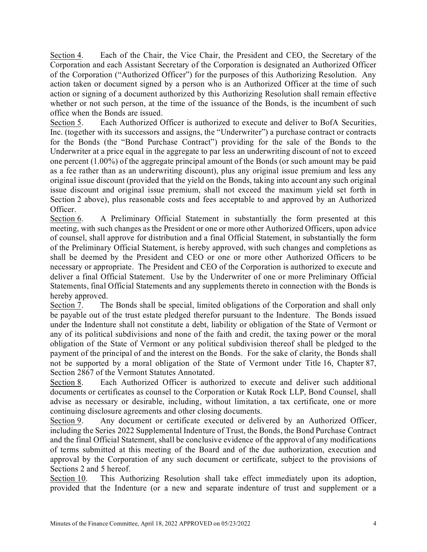Section 4. Each of the Chair, the Vice Chair, the President and CEO, the Secretary of the Corporation and each Assistant Secretary of the Corporation is designated an Authorized Officer of the Corporation ("Authorized Officer") for the purposes of this Authorizing Resolution. Any action taken or document signed by a person who is an Authorized Officer at the time of such action or signing of a document authorized by this Authorizing Resolution shall remain effective whether or not such person, at the time of the issuance of the Bonds, is the incumbent of such office when the Bonds are issued.

Section 5. Each Authorized Officer is authorized to execute and deliver to BofA Securities, Inc. (together with its successors and assigns, the "Underwriter") a purchase contract or contracts for the Bonds (the "Bond Purchase Contract") providing for the sale of the Bonds to the Underwriter at a price equal in the aggregate to par less an underwriting discount of not to exceed one percent (1.00%) of the aggregate principal amount of the Bonds (or such amount may be paid as a fee rather than as an underwriting discount), plus any original issue premium and less any original issue discount (provided that the yield on the Bonds, taking into account any such original issue discount and original issue premium, shall not exceed the maximum yield set forth in Section 2 above), plus reasonable costs and fees acceptable to and approved by an Authorized Officer.

Section 6. A Preliminary Official Statement in substantially the form presented at this meeting, with such changes as the President or one or more other Authorized Officers, upon advice of counsel, shall approve for distribution and a final Official Statement, in substantially the form of the Preliminary Official Statement, is hereby approved, with such changes and completions as shall be deemed by the President and CEO or one or more other Authorized Officers to be necessary or appropriate. The President and CEO of the Corporation is authorized to execute and deliver a final Official Statement. Use by the Underwriter of one or more Preliminary Official Statements, final Official Statements and any supplements thereto in connection with the Bonds is hereby approved.

Section 7. The Bonds shall be special, limited obligations of the Corporation and shall only be payable out of the trust estate pledged therefor pursuant to the Indenture. The Bonds issued under the Indenture shall not constitute a debt, liability or obligation of the State of Vermont or any of its political subdivisions and none of the faith and credit, the taxing power or the moral obligation of the State of Vermont or any political subdivision thereof shall be pledged to the payment of the principal of and the interest on the Bonds. For the sake of clarity, the Bonds shall not be supported by a moral obligation of the State of Vermont under Title 16, Chapter 87, Section 2867 of the Vermont Statutes Annotated.

Section 8. Each Authorized Officer is authorized to execute and deliver such additional documents or certificates as counsel to the Corporation or Kutak Rock LLP, Bond Counsel, shall advise as necessary or desirable, including, without limitation, a tax certificate, one or more continuing disclosure agreements and other closing documents.

Section 9. Any document or certificate executed or delivered by an Authorized Officer, including the Series 2022 Supplemental Indenture of Trust, the Bonds, the Bond Purchase Contract and the final Official Statement, shall be conclusive evidence of the approval of any modifications of terms submitted at this meeting of the Board and of the due authorization, execution and approval by the Corporation of any such document or certificate, subject to the provisions of Sections 2 and 5 hereof.

Section 10. This Authorizing Resolution shall take effect immediately upon its adoption, provided that the Indenture (or a new and separate indenture of trust and supplement or a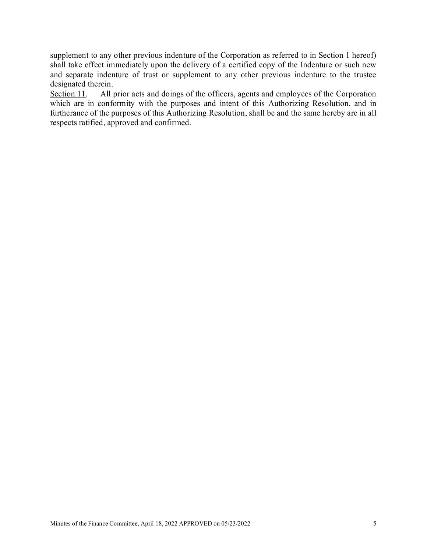supplement to any other previous indenture of the Corporation as referred to in Section 1 hereof) shall take effect immediately upon the delivery of a certified copy of the Indenture or such new and separate indenture of trust or supplement to any other previous indenture to the trustee designated therein.

Section 11. All prior acts and doings of the officers, agents and employees of the Corporation which are in conformity with the purposes and intent of this Authorizing Resolution, and in furtherance of the purposes of this Authorizing Resolution, shall be and the same hereby are in all respects ratified, approved and confirmed.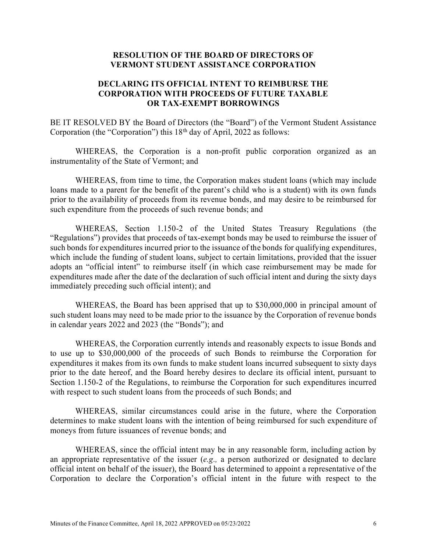### **RESOLUTION OF THE BOARD OF DIRECTORS OF VERMONT STUDENT ASSISTANCE CORPORATION**

# **DECLARING ITS OFFICIAL INTENT TO REIMBURSE THE CORPORATION WITH PROCEEDS OF FUTURE TAXABLE OR TAX-EXEMPT BORROWINGS**

BE IT RESOLVED BY the Board of Directors (the "Board") of the Vermont Student Assistance Corporation (the "Corporation") this  $18<sup>th</sup>$  day of April, 2022 as follows:

WHEREAS, the Corporation is a non-profit public corporation organized as an instrumentality of the State of Vermont; and

WHEREAS, from time to time, the Corporation makes student loans (which may include loans made to a parent for the benefit of the parent's child who is a student) with its own funds prior to the availability of proceeds from its revenue bonds, and may desire to be reimbursed for such expenditure from the proceeds of such revenue bonds; and

WHEREAS, Section 1.150-2 of the United States Treasury Regulations (the "Regulations") provides that proceeds of tax-exempt bonds may be used to reimburse the issuer of such bonds for expenditures incurred prior to the issuance of the bonds for qualifying expenditures, which include the funding of student loans, subject to certain limitations, provided that the issuer adopts an "official intent" to reimburse itself (in which case reimbursement may be made for expenditures made after the date of the declaration of such official intent and during the sixty days immediately preceding such official intent); and

WHEREAS, the Board has been apprised that up to \$30,000,000 in principal amount of such student loans may need to be made prior to the issuance by the Corporation of revenue bonds in calendar years 2022 and 2023 (the "Bonds"); and

WHEREAS, the Corporation currently intends and reasonably expects to issue Bonds and to use up to \$30,000,000 of the proceeds of such Bonds to reimburse the Corporation for expenditures it makes from its own funds to make student loans incurred subsequent to sixty days prior to the date hereof, and the Board hereby desires to declare its official intent, pursuant to Section 1.150-2 of the Regulations, to reimburse the Corporation for such expenditures incurred with respect to such student loans from the proceeds of such Bonds; and

WHEREAS, similar circumstances could arise in the future, where the Corporation determines to make student loans with the intention of being reimbursed for such expenditure of moneys from future issuances of revenue bonds; and

WHEREAS, since the official intent may be in any reasonable form, including action by an appropriate representative of the issuer (*e.g.,* a person authorized or designated to declare official intent on behalf of the issuer), the Board has determined to appoint a representative of the Corporation to declare the Corporation's official intent in the future with respect to the